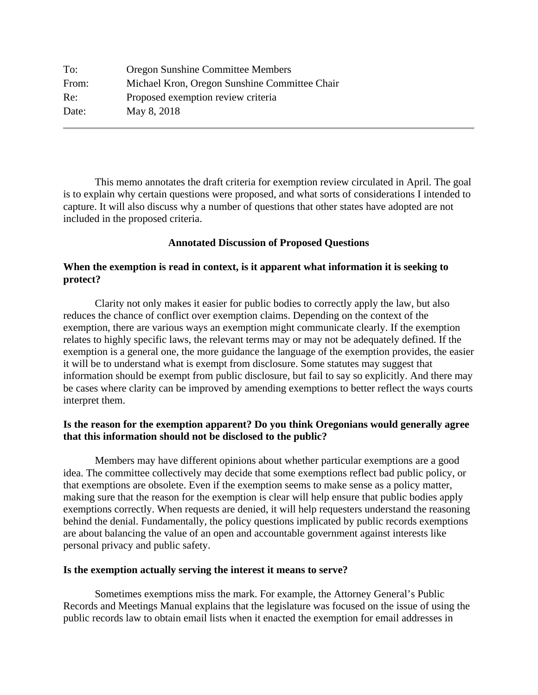| To:   | <b>Oregon Sunshine Committee Members</b>      |
|-------|-----------------------------------------------|
| From: | Michael Kron, Oregon Sunshine Committee Chair |
| Re:   | Proposed exemption review criteria            |
| Date: | May 8, 2018                                   |

This memo annotates the draft criteria for exemption review circulated in April. The goal is to explain why certain questions were proposed, and what sorts of considerations I intended to capture. It will also discuss why a number of questions that other states have adopted are not included in the proposed criteria.

#### **Annotated Discussion of Proposed Questions**

## **When the exemption is read in context, is it apparent what information it is seeking to protect?**

 Clarity not only makes it easier for public bodies to correctly apply the law, but also reduces the chance of conflict over exemption claims. Depending on the context of the exemption, there are various ways an exemption might communicate clearly. If the exemption relates to highly specific laws, the relevant terms may or may not be adequately defined. If the exemption is a general one, the more guidance the language of the exemption provides, the easier it will be to understand what is exempt from disclosure. Some statutes may suggest that information should be exempt from public disclosure, but fail to say so explicitly. And there may be cases where clarity can be improved by amending exemptions to better reflect the ways courts interpret them.

### **Is the reason for the exemption apparent? Do you think Oregonians would generally agree that this information should not be disclosed to the public?**

 Members may have different opinions about whether particular exemptions are a good idea. The committee collectively may decide that some exemptions reflect bad public policy, or that exemptions are obsolete. Even if the exemption seems to make sense as a policy matter, making sure that the reason for the exemption is clear will help ensure that public bodies apply exemptions correctly. When requests are denied, it will help requesters understand the reasoning behind the denial. Fundamentally, the policy questions implicated by public records exemptions are about balancing the value of an open and accountable government against interests like personal privacy and public safety.

#### **Is the exemption actually serving the interest it means to serve?**

 Sometimes exemptions miss the mark. For example, the Attorney General's Public Records and Meetings Manual explains that the legislature was focused on the issue of using the public records law to obtain email lists when it enacted the exemption for email addresses in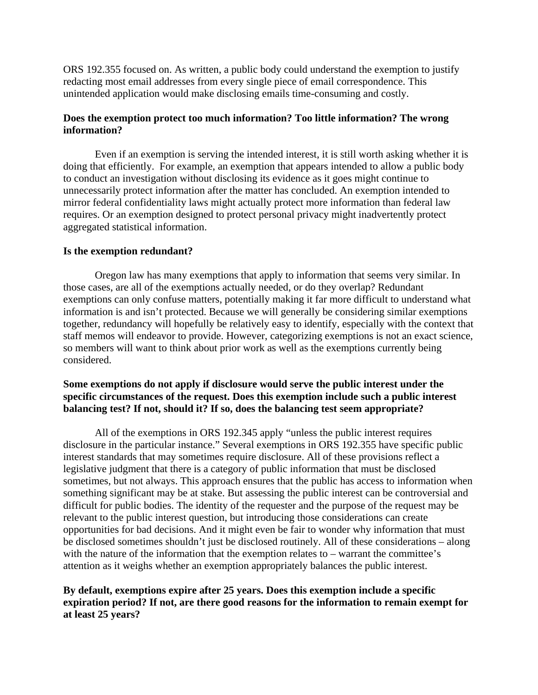ORS 192.355 focused on. As written, a public body could understand the exemption to justify redacting most email addresses from every single piece of email correspondence. This unintended application would make disclosing emails time-consuming and costly.

# **Does the exemption protect too much information? Too little information? The wrong information?**

 Even if an exemption is serving the intended interest, it is still worth asking whether it is doing that efficiently. For example, an exemption that appears intended to allow a public body to conduct an investigation without disclosing its evidence as it goes might continue to unnecessarily protect information after the matter has concluded. An exemption intended to mirror federal confidentiality laws might actually protect more information than federal law requires. Or an exemption designed to protect personal privacy might inadvertently protect aggregated statistical information.

### **Is the exemption redundant?**

 Oregon law has many exemptions that apply to information that seems very similar. In those cases, are all of the exemptions actually needed, or do they overlap? Redundant exemptions can only confuse matters, potentially making it far more difficult to understand what information is and isn't protected. Because we will generally be considering similar exemptions together, redundancy will hopefully be relatively easy to identify, especially with the context that staff memos will endeavor to provide. However, categorizing exemptions is not an exact science, so members will want to think about prior work as well as the exemptions currently being considered.

## **Some exemptions do not apply if disclosure would serve the public interest under the specific circumstances of the request. Does this exemption include such a public interest balancing test? If not, should it? If so, does the balancing test seem appropriate?**

 All of the exemptions in ORS 192.345 apply "unless the public interest requires disclosure in the particular instance." Several exemptions in ORS 192.355 have specific public interest standards that may sometimes require disclosure. All of these provisions reflect a legislative judgment that there is a category of public information that must be disclosed sometimes, but not always. This approach ensures that the public has access to information when something significant may be at stake. But assessing the public interest can be controversial and difficult for public bodies. The identity of the requester and the purpose of the request may be relevant to the public interest question, but introducing those considerations can create opportunities for bad decisions. And it might even be fair to wonder why information that must be disclosed sometimes shouldn't just be disclosed routinely. All of these considerations – along with the nature of the information that the exemption relates to – warrant the committee's attention as it weighs whether an exemption appropriately balances the public interest.

# **By default, exemptions expire after 25 years. Does this exemption include a specific expiration period? If not, are there good reasons for the information to remain exempt for at least 25 years?**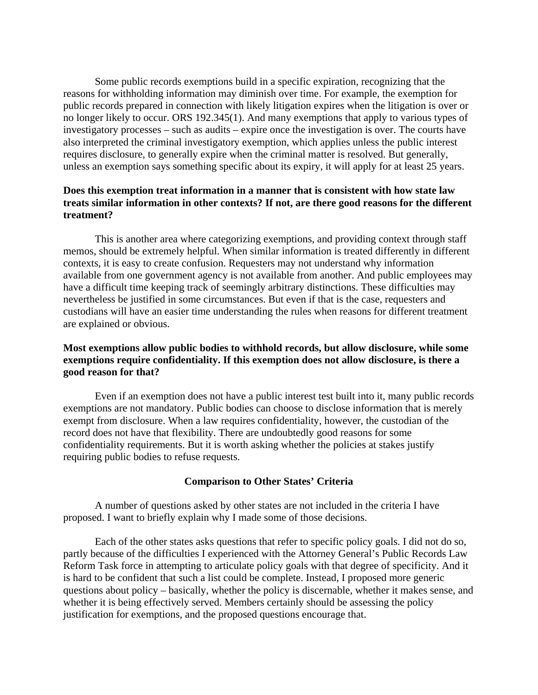Some public records exemptions build in a specific expiration, recognizing that the reasons for withholding information may diminish over time. For example, the exemption for public records prepared in connection with likely litigation expires when the litigation is over or no longer likely to occur. ORS 192.345(1). And many exemptions that apply to various types of investigatory processes – such as audits – expire once the investigation is over. The courts have also interpreted the criminal investigatory exemption, which applies unless the public interest requires disclosure, to generally expire when the criminal matter is resolved. But generally, unless an exemption says something specific about its expiry, it will apply for at least 25 years.

## **Does this exemption treat information in a manner that is consistent with how state law treats similar information in other contexts? If not, are there good reasons for the different treatment?**

 This is another area where categorizing exemptions, and providing context through staff memos, should be extremely helpful. When similar information is treated differently in different contexts, it is easy to create confusion. Requesters may not understand why information available from one government agency is not available from another. And public employees may have a difficult time keeping track of seemingly arbitrary distinctions. These difficulties may nevertheless be justified in some circumstances. But even if that is the case, requesters and custodians will have an easier time understanding the rules when reasons for different treatment are explained or obvious.

# **Most exemptions allow public bodies to withhold records, but allow disclosure, while some exemptions require confidentiality. If this exemption does not allow disclosure, is there a good reason for that?**

 Even if an exemption does not have a public interest test built into it, many public records exemptions are not mandatory. Public bodies can choose to disclose information that is merely exempt from disclosure. When a law requires confidentiality, however, the custodian of the record does not have that flexibility. There are undoubtedly good reasons for some confidentiality requirements. But it is worth asking whether the policies at stakes justify requiring public bodies to refuse requests.

### **Comparison to Other States' Criteria**

 A number of questions asked by other states are not included in the criteria I have proposed. I want to briefly explain why I made some of those decisions.

Each of the other states asks questions that refer to specific policy goals. I did not do so, partly because of the difficulties I experienced with the Attorney General's Public Records Law Reform Task force in attempting to articulate policy goals with that degree of specificity. And it is hard to be confident that such a list could be complete. Instead, I proposed more generic questions about policy – basically, whether the policy is discernable, whether it makes sense, and whether it is being effectively served. Members certainly should be assessing the policy justification for exemptions, and the proposed questions encourage that.